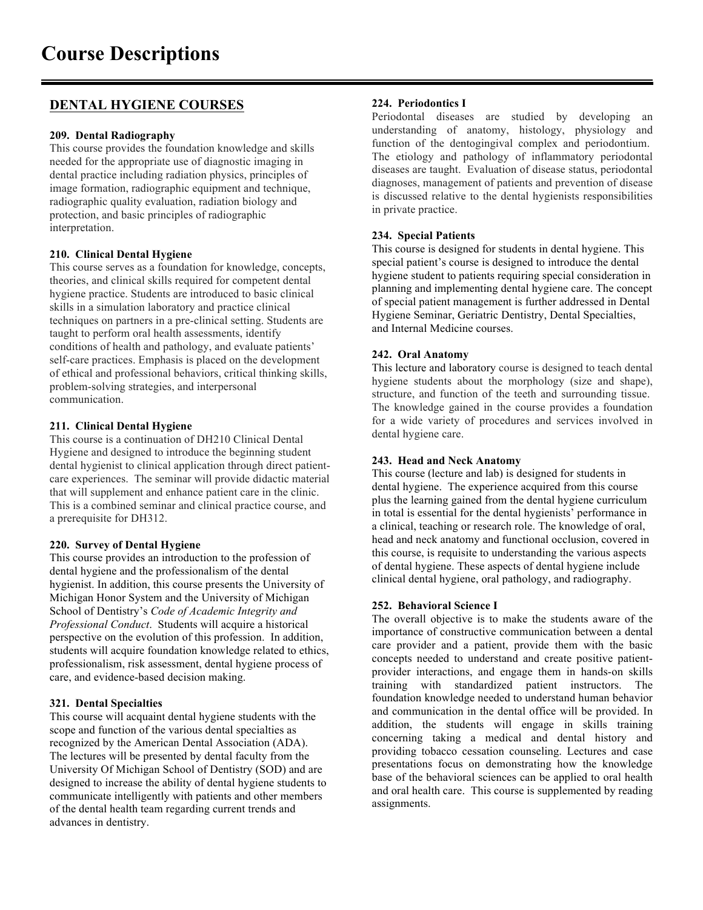# **DENTAL HYGIENE COURSES**

## **209. Dental Radiography**

This course provides the foundation knowledge and skills needed for the appropriate use of diagnostic imaging in dental practice including radiation physics, principles of image formation, radiographic equipment and technique, radiographic quality evaluation, radiation biology and protection, and basic principles of radiographic interpretation.

## **210. Clinical Dental Hygiene**

This course serves as a foundation for knowledge, concepts, theories, and clinical skills required for competent dental hygiene practice. Students are introduced to basic clinical skills in a simulation laboratory and practice clinical techniques on partners in a pre-clinical setting. Students are taught to perform oral health assessments, identify conditions of health and pathology, and evaluate patients' self-care practices. Emphasis is placed on the development of ethical and professional behaviors, critical thinking skills, problem-solving strategies, and interpersonal communication.

## **211. Clinical Dental Hygiene**

This course is a continuation of DH210 Clinical Dental Hygiene and designed to introduce the beginning student dental hygienist to clinical application through direct patientcare experiences. The seminar will provide didactic material that will supplement and enhance patient care in the clinic. This is a combined seminar and clinical practice course, and a prerequisite for DH312.

## **220. Survey of Dental Hygiene**

This course provides an introduction to the profession of dental hygiene and the professionalism of the dental hygienist. In addition, this course presents the University of Michigan Honor System and the University of Michigan School of Dentistry's *Code of Academic Integrity and Professional Conduct*. Students will acquire a historical perspective on the evolution of this profession. In addition, students will acquire foundation knowledge related to ethics, professionalism, risk assessment, dental hygiene process of care, and evidence-based decision making.

## **321. Dental Specialties**

This course will acquaint dental hygiene students with the scope and function of the various dental specialties as recognized by the American Dental Association (ADA). The lectures will be presented by dental faculty from the University Of Michigan School of Dentistry (SOD) and are designed to increase the ability of dental hygiene students to communicate intelligently with patients and other members of the dental health team regarding current trends and advances in dentistry.

## **224. Periodontics I**

Periodontal diseases are studied by developing an understanding of anatomy, histology, physiology and function of the dentogingival complex and periodontium. The etiology and pathology of inflammatory periodontal diseases are taught. Evaluation of disease status, periodontal diagnoses, management of patients and prevention of disease is discussed relative to the dental hygienists responsibilities in private practice.

## **234. Special Patients**

This course is designed for students in dental hygiene. This special patient's course is designed to introduce the dental hygiene student to patients requiring special consideration in planning and implementing dental hygiene care. The concept of special patient management is further addressed in Dental Hygiene Seminar, Geriatric Dentistry, Dental Specialties, and Internal Medicine courses.

## **242. Oral Anatomy**

This lecture and laboratory course is designed to teach dental hygiene students about the morphology (size and shape), structure, and function of the teeth and surrounding tissue. The knowledge gained in the course provides a foundation for a wide variety of procedures and services involved in dental hygiene care.

## **243. Head and Neck Anatomy**

This course (lecture and lab) is designed for students in dental hygiene. The experience acquired from this course plus the learning gained from the dental hygiene curriculum in total is essential for the dental hygienists' performance in a clinical, teaching or research role. The knowledge of oral, head and neck anatomy and functional occlusion, covered in this course, is requisite to understanding the various aspects of dental hygiene. These aspects of dental hygiene include clinical dental hygiene, oral pathology, and radiography.

## **252. Behavioral Science I**

The overall objective is to make the students aware of the importance of constructive communication between a dental care provider and a patient, provide them with the basic concepts needed to understand and create positive patientprovider interactions, and engage them in hands-on skills training with standardized patient instructors. The foundation knowledge needed to understand human behavior and communication in the dental office will be provided. In addition, the students will engage in skills training concerning taking a medical and dental history and providing tobacco cessation counseling. Lectures and case presentations focus on demonstrating how the knowledge base of the behavioral sciences can be applied to oral health and oral health care. This course is supplemented by reading assignments.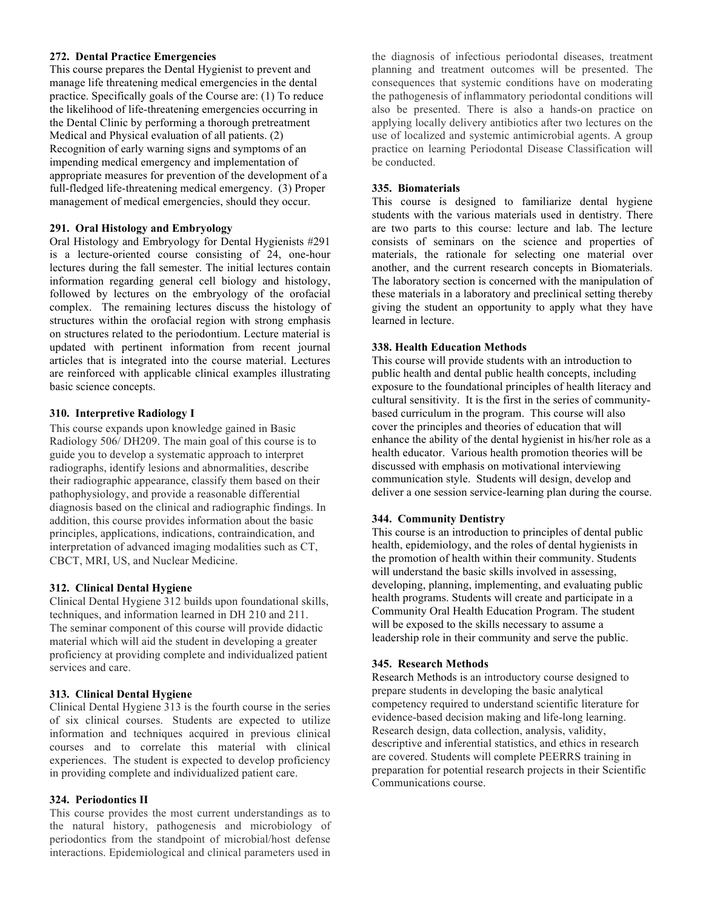#### **272. Dental Practice Emergencies**

This course prepares the Dental Hygienist to prevent and manage life threatening medical emergencies in the dental practice. Specifically goals of the Course are: (1) To reduce the likelihood of life-threatening emergencies occurring in the Dental Clinic by performing a thorough pretreatment Medical and Physical evaluation of all patients. (2) Recognition of early warning signs and symptoms of an impending medical emergency and implementation of appropriate measures for prevention of the development of a full-fledged life-threatening medical emergency. (3) Proper management of medical emergencies, should they occur.

#### **291. Oral Histology and Embryology**

Oral Histology and Embryology for Dental Hygienists #291 is a lecture-oriented course consisting of 24, one-hour lectures during the fall semester. The initial lectures contain information regarding general cell biology and histology, followed by lectures on the embryology of the orofacial complex. The remaining lectures discuss the histology of structures within the orofacial region with strong emphasis on structures related to the periodontium. Lecture material is updated with pertinent information from recent journal articles that is integrated into the course material. Lectures are reinforced with applicable clinical examples illustrating basic science concepts.

#### **310. Interpretive Radiology I**

This course expands upon knowledge gained in Basic Radiology 506/ DH209. The main goal of this course is to guide you to develop a systematic approach to interpret radiographs, identify lesions and abnormalities, describe their radiographic appearance, classify them based on their pathophysiology, and provide a reasonable differential diagnosis based on the clinical and radiographic findings. In addition, this course provides information about the basic principles, applications, indications, contraindication, and interpretation of advanced imaging modalities such as CT, CBCT, MRI, US, and Nuclear Medicine.

### **312. Clinical Dental Hygiene**

Clinical Dental Hygiene 312 builds upon foundational skills, techniques, and information learned in DH 210 and 211. The seminar component of this course will provide didactic material which will aid the student in developing a greater proficiency at providing complete and individualized patient services and care.

#### **313. Clinical Dental Hygiene**

Clinical Dental Hygiene 313 is the fourth course in the series of six clinical courses. Students are expected to utilize information and techniques acquired in previous clinical courses and to correlate this material with clinical experiences. The student is expected to develop proficiency in providing complete and individualized patient care.

### **324. Periodontics II**

This course provides the most current understandings as to the natural history, pathogenesis and microbiology of periodontics from the standpoint of microbial/host defense interactions. Epidemiological and clinical parameters used in the diagnosis of infectious periodontal diseases, treatment planning and treatment outcomes will be presented. The consequences that systemic conditions have on moderating the pathogenesis of inflammatory periodontal conditions will also be presented. There is also a hands-on practice on applying locally delivery antibiotics after two lectures on the use of localized and systemic antimicrobial agents. A group practice on learning Periodontal Disease Classification will be conducted.

#### **335. Biomaterials**

This course is designed to familiarize dental hygiene students with the various materials used in dentistry. There are two parts to this course: lecture and lab. The lecture consists of seminars on the science and properties of materials, the rationale for selecting one material over another, and the current research concepts in Biomaterials. The laboratory section is concerned with the manipulation of these materials in a laboratory and preclinical setting thereby giving the student an opportunity to apply what they have learned in lecture.

#### **338. Health Education Methods**

This course will provide students with an introduction to public health and dental public health concepts, including exposure to the foundational principles of health literacy and cultural sensitivity. It is the first in the series of communitybased curriculum in the program. This course will also cover the principles and theories of education that will enhance the ability of the dental hygienist in his/her role as a health educator. Various health promotion theories will be discussed with emphasis on motivational interviewing communication style. Students will design, develop and deliver a one session service-learning plan during the course.

### **344. Community Dentistry**

This course is an introduction to principles of dental public health, epidemiology, and the roles of dental hygienists in the promotion of health within their community. Students will understand the basic skills involved in assessing, developing, planning, implementing, and evaluating public health programs. Students will create and participate in a Community Oral Health Education Program. The student will be exposed to the skills necessary to assume a leadership role in their community and serve the public.

#### **345. Research Methods**

Research Methods is an introductory course designed to prepare students in developing the basic analytical competency required to understand scientific literature for evidence-based decision making and life-long learning. Research design, data collection, analysis, validity, descriptive and inferential statistics, and ethics in research are covered. Students will complete PEERRS training in preparation for potential research projects in their Scientific Communications course.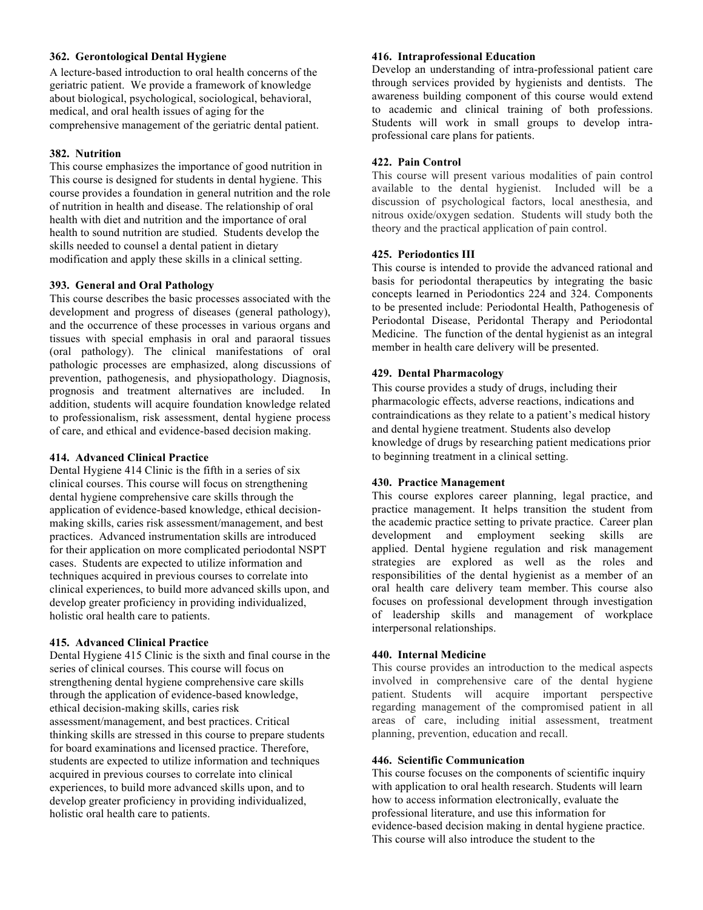## **362. Gerontological Dental Hygiene**

A lecture-based introduction to oral health concerns of the geriatric patient. We provide a framework of knowledge about biological, psychological, sociological, behavioral, medical, and oral health issues of aging for the comprehensive management of the geriatric dental patient.

### **382. Nutrition**

This course emphasizes the importance of good nutrition in This course is designed for students in dental hygiene. This course provides a foundation in general nutrition and the role of nutrition in health and disease. The relationship of oral health with diet and nutrition and the importance of oral health to sound nutrition are studied. Students develop the skills needed to counsel a dental patient in dietary modification and apply these skills in a clinical setting.

## **393. General and Oral Pathology**

This course describes the basic processes associated with the development and progress of diseases (general pathology), and the occurrence of these processes in various organs and tissues with special emphasis in oral and paraoral tissues (oral pathology). The clinical manifestations of oral pathologic processes are emphasized, along discussions of prevention, pathogenesis, and physiopathology. Diagnosis, prognosis and treatment alternatives are included. In addition, students will acquire foundation knowledge related to professionalism, risk assessment, dental hygiene process of care, and ethical and evidence-based decision making.

### **414. Advanced Clinical Practice**

Dental Hygiene 414 Clinic is the fifth in a series of six clinical courses. This course will focus on strengthening dental hygiene comprehensive care skills through the application of evidence-based knowledge, ethical decisionmaking skills, caries risk assessment/management, and best practices. Advanced instrumentation skills are introduced for their application on more complicated periodontal NSPT cases. Students are expected to utilize information and techniques acquired in previous courses to correlate into clinical experiences, to build more advanced skills upon, and develop greater proficiency in providing individualized, holistic oral health care to patients.

### **415. Advanced Clinical Practice**

Dental Hygiene 415 Clinic is the sixth and final course in the series of clinical courses. This course will focus on strengthening dental hygiene comprehensive care skills through the application of evidence-based knowledge, ethical decision-making skills, caries risk assessment/management, and best practices. Critical thinking skills are stressed in this course to prepare students for board examinations and licensed practice. Therefore, students are expected to utilize information and techniques acquired in previous courses to correlate into clinical experiences, to build more advanced skills upon, and to develop greater proficiency in providing individualized, holistic oral health care to patients.

## **416. Intraprofessional Education**

Develop an understanding of intra-professional patient care through services provided by hygienists and dentists. The awareness building component of this course would extend to academic and clinical training of both professions. Students will work in small groups to develop intraprofessional care plans for patients.

## **422. Pain Control**

This course will present various modalities of pain control available to the dental hygienist. Included will be a discussion of psychological factors, local anesthesia, and nitrous oxide/oxygen sedation. Students will study both the theory and the practical application of pain control.

## **425. Periodontics III**

This course is intended to provide the advanced rational and basis for periodontal therapeutics by integrating the basic concepts learned in Periodontics 224 and 324. Components to be presented include: Periodontal Health, Pathogenesis of Periodontal Disease, Peridontal Therapy and Periodontal Medicine. The function of the dental hygienist as an integral member in health care delivery will be presented.

## **429. Dental Pharmacology**

This course provides a study of drugs, including their pharmacologic effects, adverse reactions, indications and contraindications as they relate to a patient's medical history and dental hygiene treatment. Students also develop knowledge of drugs by researching patient medications prior to beginning treatment in a clinical setting.

## **430. Practice Management**

This course explores career planning, legal practice, and practice management. It helps transition the student from the academic practice setting to private practice. Career plan development and employment seeking skills are applied. Dental hygiene regulation and risk management strategies are explored as well as the roles and responsibilities of the dental hygienist as a member of an oral health care delivery team member. This course also focuses on professional development through investigation of leadership skills and management of workplace interpersonal relationships.

### **440. Internal Medicine**

This course provides an introduction to the medical aspects involved in comprehensive care of the dental hygiene patient. Students will acquire important perspective regarding management of the compromised patient in all areas of care, including initial assessment, treatment planning, prevention, education and recall.

## **446. Scientific Communication**

This course focuses on the components of scientific inquiry with application to oral health research. Students will learn how to access information electronically, evaluate the professional literature, and use this information for evidence-based decision making in dental hygiene practice. This course will also introduce the student to the